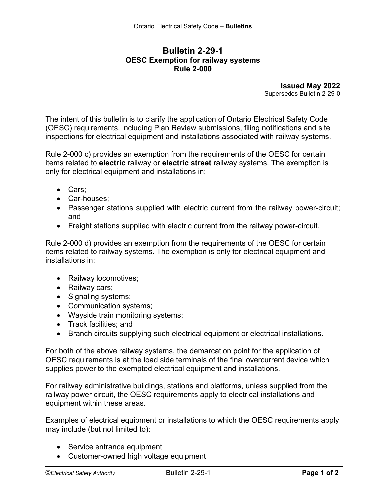## **Bulletin 2-29-1 OESC Exemption for railway systems Rule 2-000**

**Issued May 2022** Supersedes Bulletin 2-29-0

The intent of this bulletin is to clarify the application of Ontario Electrical Safety Code (OESC) requirements, including Plan Review submissions, filing notifications and site inspections for electrical equipment and installations associated with railway systems.

Rule 2-000 c) provides an exemption from the requirements of the OESC for certain items related to **electric** railway or **electric street** railway systems. The exemption is only for electrical equipment and installations in:

- Cars;
- Car-houses;
- Passenger stations supplied with electric current from the railway power-circuit; and
- Freight stations supplied with electric current from the railway power-circuit.

Rule 2-000 d) provides an exemption from the requirements of the OESC for certain items related to railway systems. The exemption is only for electrical equipment and installations in:

- Railway locomotives;
- Railway cars;
- Signaling systems;
- Communication systems;
- Wayside train monitoring systems;
- Track facilities; and
- Branch circuits supplying such electrical equipment or electrical installations.

For both of the above railway systems, the demarcation point for the application of OESC requirements is at the load side terminals of the final overcurrent device which supplies power to the exempted electrical equipment and installations.

For railway administrative buildings, stations and platforms, unless supplied from the railway power circuit, the OESC requirements apply to electrical installations and equipment within these areas.

Examples of electrical equipment or installations to which the OESC requirements apply may include (but not limited to):

- Service entrance equipment
- Customer-owned high voltage equipment